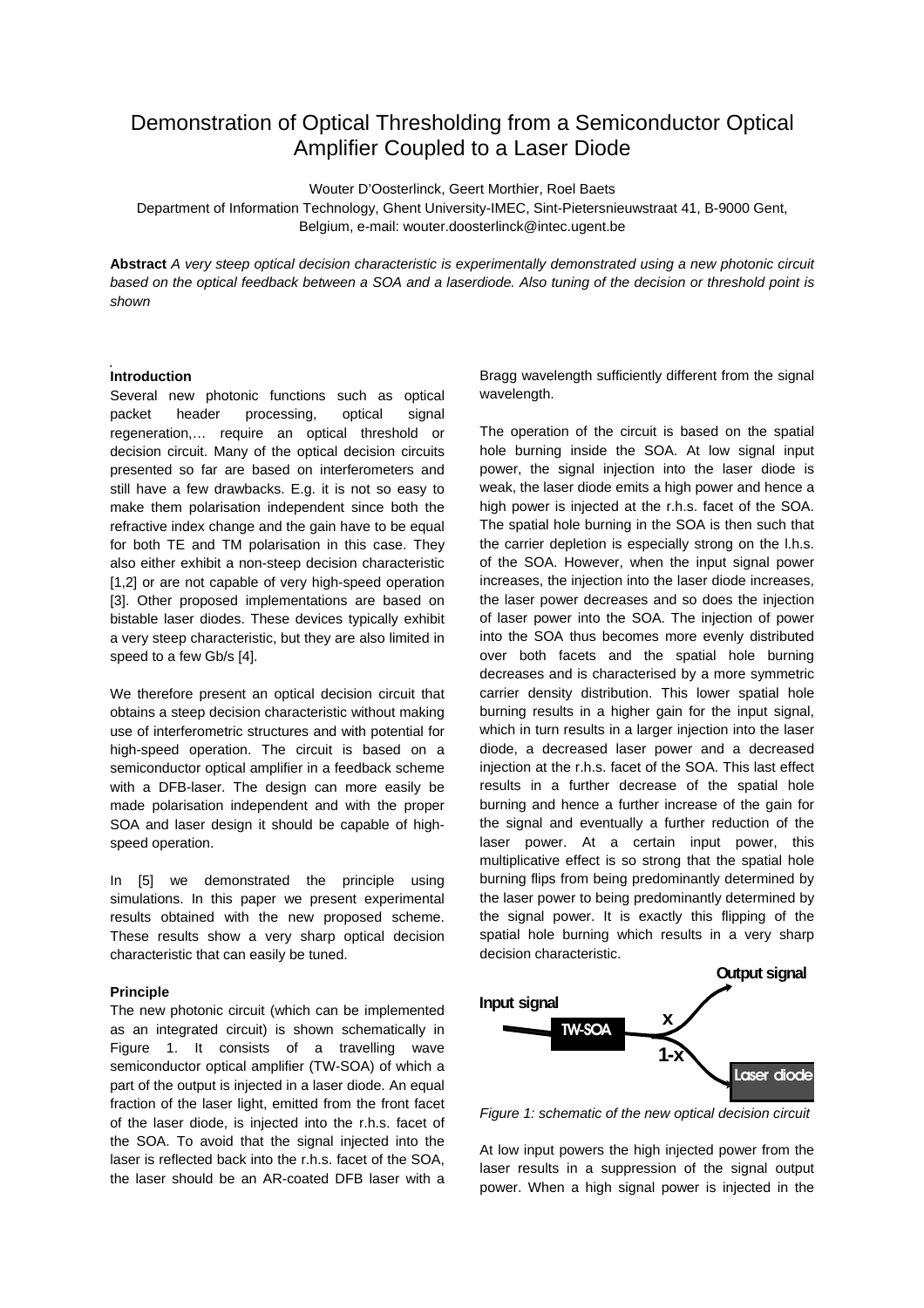# Demonstration of Optical Thresholding from a Semiconductor Optical Amplifier Coupled to a Laser Diode

Wouter D'Oosterlinck, Geert Morthier, Roel Baets

Department of Information Technology, Ghent University-IMEC, Sint-Pietersnieuwstraat 41, B-9000 Gent, Belgium, e-mail: wouter.doosterlinck@intec.ugent.be

**Abstract** *A very steep optical decision characteristic is experimentally demonstrated using a new photonic circuit based on the optical feedback between a SOA and a laserdiode. Also tuning of the decision or threshold point is shown*

#### **Introduction**

Several new photonic functions such as optical packet header processing, optical signal regeneration,… require an optical threshold or decision circuit. Many of the optical decision circuits presented so far are based on interferometers and still have a few drawbacks. E.g. it is not so easy to make them polarisation independent since both the refractive index change and the gain have to be equal for both TE and TM polarisation in this case. They also either exhibit a non-steep decision characteristic [1,2] or are not capable of very high-speed operation [3]. Other proposed implementations are based on bistable laser diodes. These devices typically exhibit a very steep characteristic, but they are also limited in speed to a few Gb/s [4].

We therefore present an optical decision circuit that obtains a steep decision characteristic without making use of interferometric structures and with potential for high-speed operation. The circuit is based on a semiconductor optical amplifier in a feedback scheme with a DFB-laser. The design can more easily be made polarisation independent and with the proper SOA and laser design it should be capable of highspeed operation.

In [5] we demonstrated the principle using simulations. In this paper we present experimental results obtained with the new proposed scheme. These results show a very sharp optical decision characteristic that can easily be tuned.

# **Principle**

The new photonic circuit (which can be implemented as an integrated circuit) is shown schematically in Figure 1. It consists of a travelling wave semiconductor optical amplifier (TW-SOA) of which a part of the output is injected in a laser diode. An equal fraction of the laser light, emitted from the front facet of the laser diode, is injected into the r.h.s. facet of the SOA. To avoid that the signal injected into the laser is reflected back into the r.h.s. facet of the SOA, the laser should be an AR-coated DFB laser with a

Bragg wavelength sufficiently different from the signal wavelength.

The operation of the circuit is based on the spatial hole burning inside the SOA. At low signal input power, the signal injection into the laser diode is weak, the laser diode emits a high power and hence a high power is injected at the r.h.s. facet of the SOA. The spatial hole burning in the SOA is then such that the carrier depletion is especially strong on the l.h.s. of the SOA. However, when the input signal power increases, the injection into the laser diode increases, the laser power decreases and so does the injection of laser power into the SOA. The injection of power into the SOA thus becomes more evenly distributed over both facets and the spatial hole burning decreases and is characterised by a more symmetric carrier density distribution. This lower spatial hole burning results in a higher gain for the input signal, which in turn results in a larger injection into the laser diode, a decreased laser power and a decreased injection at the r.h.s. facet of the SOA. This last effect results in a further decrease of the spatial hole burning and hence a further increase of the gain for the signal and eventually a further reduction of the laser power. At a certain input power, this multiplicative effect is so strong that the spatial hole burning flips from being predominantly determined by the laser power to being predominantly determined by the signal power. It is exactly this flipping of the spatial hole burning which results in a very sharp decision characteristic.



*Figure 1: schematic of the new optical decision circuit*

At low input powers the high injected power from the laser results in a suppression of the signal output power. When a high signal power is injected in the